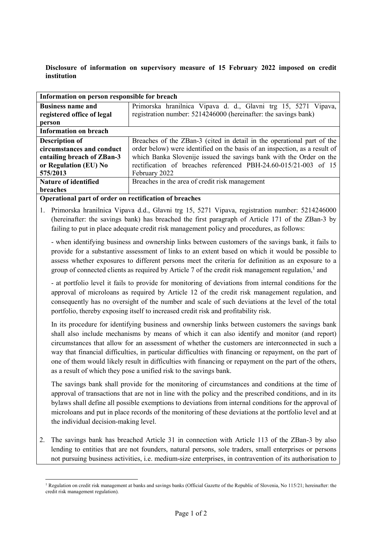## **Disclosure of information on supervisory measure of 15 February 2022 imposed on credit institution**

| Information on person responsible for breach |                                                                            |
|----------------------------------------------|----------------------------------------------------------------------------|
| <b>Business name and</b>                     | Primorska hranilnica Vipava d. d., Glavni trg 15, 5271 Vipava,             |
| registered office of legal                   | registration number: 5214246000 (hereinafter: the savings bank)            |
| person                                       |                                                                            |
| <b>Information on breach</b>                 |                                                                            |
| <b>Description of</b>                        | Breaches of the ZBan-3 (cited in detail in the operational part of the     |
| circumstances and conduct                    | order below) were identified on the basis of an inspection, as a result of |
| entailing breach of ZBan-3                   | which Banka Slovenije issued the savings bank with the Order on the        |
| or Regulation (EU) No                        | rectification of breaches referenced PBH-24.60-015/21-003 of 15            |
| 575/2013                                     | February 2022                                                              |
| <b>Nature of identified</b>                  | Breaches in the area of credit risk management                             |
| <b>breaches</b>                              |                                                                            |

## **Operational part of order on rectification of breaches**

1. Primorska hranilnica Vipava d.d., Glavni trg 15, 5271 Vipava, registration number: 5214246000 (hereinafter: the savings bank) has breached the first paragraph of Article 171 of the ZBan-3 by failing to put in place adequate credit risk management policy and procedures, as follows:

- when identifying business and ownership links between customers of the savings bank, it fails to provide for a substantive assessment of links to an extent based on which it would be possible to assess whether exposures to different persons meet the criteria for definition as an exposure to a group of connected clients as required by Article 7 of the credit risk management regulation,<sup>[1](#page-0-0)</sup> and

- at portfolio level it fails to provide for monitoring of deviations from internal conditions for the approval of microloans as required by Article 12 of the credit risk management regulation, and consequently has no oversight of the number and scale of such deviations at the level of the total portfolio, thereby exposing itself to increased credit risk and profitability risk.

In its procedure for identifying business and ownership links between customers the savings bank shall also include mechanisms by means of which it can also identify and monitor (and report) circumstances that allow for an assessment of whether the customers are interconnected in such a way that financial difficulties, in particular difficulties with financing or repayment, on the part of one of them would likely result in difficulties with financing or repayment on the part of the others, as a result of which they pose a unified risk to the savings bank.

The savings bank shall provide for the monitoring of circumstances and conditions at the time of approval of transactions that are not in line with the policy and the prescribed conditions, and in its bylaws shall define all possible exemptions to deviations from internal conditions for the approval of microloans and put in place records of the monitoring of these deviations at the portfolio level and at the individual decision-making level.

2. The savings bank has breached Article 31 in connection with Article 113 of the ZBan-3 by also lending to entities that are not founders, natural persons, sole traders, small enterprises or persons not pursuing business activities, i.e. medium-size enterprises, in contravention of its authorisation to

<span id="page-0-0"></span><sup>&</sup>lt;sup>1</sup> Regulation on credit risk management at banks and savings banks (Official Gazette of the Republic of Slovenia, No 115/21; hereinafter: the credit risk management regulation).